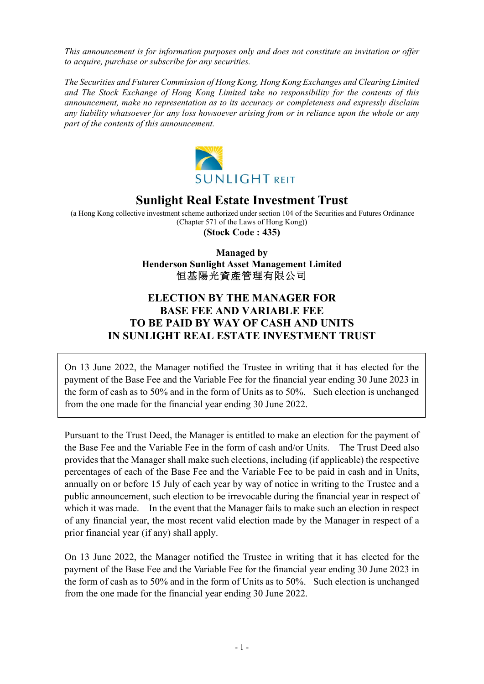*This announcement is for information purposes only and does not constitute an invitation or offer to acquire, purchase or subscribe for any securities.* 

*The Securities and Futures Commission of Hong Kong, Hong Kong Exchanges and Clearing Limited and The Stock Exchange of Hong Kong Limited take no responsibility for the contents of this announcement, make no representation as to its accuracy or completeness and expressly disclaim any liability whatsoever for any loss howsoever arising from or in reliance upon the whole or any part of the contents of this announcement.* 



## **Sunlight Real Estate Investment Trust**

(a Hong Kong collective investment scheme authorized under section 104 of the Securities and Futures Ordinance (Chapter 571 of the Laws of Hong Kong)) **(Stock Code : 435)** 

> **Managed by Henderson Sunlight Asset Management Limited**  恒基陽光資產管理有限公司

## **ELECTION BY THE MANAGER FOR BASE FEE AND VARIABLE FEE TO BE PAID BY WAY OF CASH AND UNITS IN SUNLIGHT REAL ESTATE INVESTMENT TRUST**

On 13 June 2022, the Manager notified the Trustee in writing that it has elected for the payment of the Base Fee and the Variable Fee for the financial year ending 30 June 2023 in the form of cash as to 50% and in the form of Units as to 50%. Such election is unchanged from the one made for the financial year ending 30 June 2022.

Pursuant to the Trust Deed, the Manager is entitled to make an election for the payment of the Base Fee and the Variable Fee in the form of cash and/or Units. The Trust Deed also provides that the Manager shall make such elections, including (if applicable) the respective percentages of each of the Base Fee and the Variable Fee to be paid in cash and in Units, annually on or before 15 July of each year by way of notice in writing to the Trustee and a public announcement, such election to be irrevocable during the financial year in respect of which it was made. In the event that the Manager fails to make such an election in respect of any financial year, the most recent valid election made by the Manager in respect of a prior financial year (if any) shall apply.

On 13 June 2022, the Manager notified the Trustee in writing that it has elected for the payment of the Base Fee and the Variable Fee for the financial year ending 30 June 2023 in the form of cash as to 50% and in the form of Units as to 50%. Such election is unchanged from the one made for the financial year ending 30 June 2022.